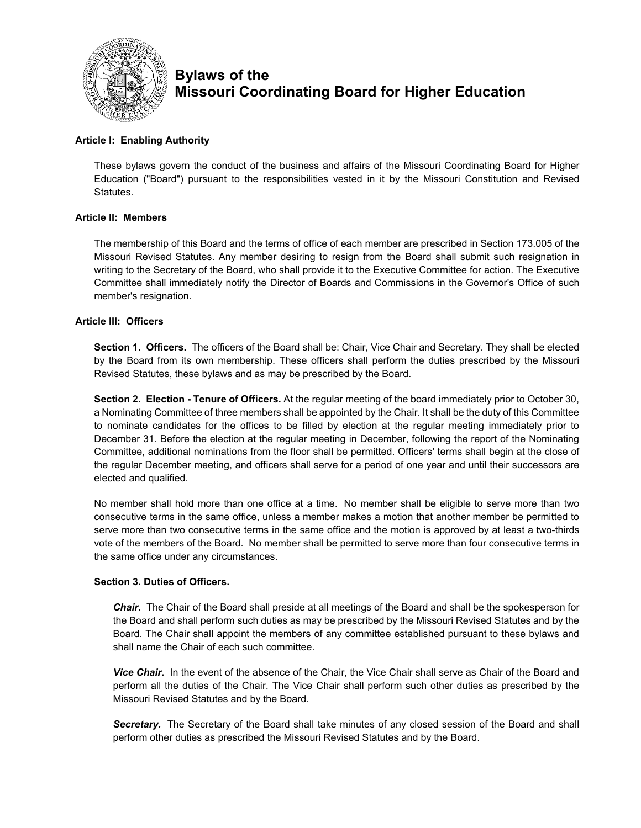

# **Bylaws of the Missouri Coordinating Board for Higher Education**

## **Article I: Enabling Authority**

These bylaws govern the conduct of the business and affairs of the Missouri Coordinating Board for Higher Education ("Board") pursuant to the responsibilities vested in it by the Missouri Constitution and Revised Statutes.

## **Article II: Members**

The membership of this Board and the terms of office of each member are prescribed in Section 173.005 of the Missouri Revised Statutes. Any member desiring to resign from the Board shall submit such resignation in writing to the Secretary of the Board, who shall provide it to the Executive Committee for action. The Executive Committee shall immediately notify the Director of Boards and Commissions in the Governor's Office of such member's resignation.

## **Article III: Officers**

**Section 1. Officers.** The officers of the Board shall be: Chair, Vice Chair and Secretary. They shall be elected by the Board from its own membership. These officers shall perform the duties prescribed by the Missouri Revised Statutes, these bylaws and as may be prescribed by the Board.

**Section 2. Election - Tenure of Officers.** At the regular meeting of the board immediately prior to October 30, a Nominating Committee of three members shall be appointed by the Chair. It shall be the duty of this Committee to nominate candidates for the offices to be filled by election at the regular meeting immediately prior to December 31. Before the election at the regular meeting in December, following the report of the Nominating Committee, additional nominations from the floor shall be permitted. Officers' terms shall begin at the close of the regular December meeting, and officers shall serve for a period of one year and until their successors are elected and qualified.

No member shall hold more than one office at a time. No member shall be eligible to serve more than two consecutive terms in the same office, unless a member makes a motion that another member be permitted to serve more than two consecutive terms in the same office and the motion is approved by at least a two-thirds vote of the members of the Board. No member shall be permitted to serve more than four consecutive terms in the same office under any circumstances.

## **Section 3. Duties of Officers.**

*Chair.* The Chair of the Board shall preside at all meetings of the Board and shall be the spokesperson for the Board and shall perform such duties as may be prescribed by the Missouri Revised Statutes and by the Board. The Chair shall appoint the members of any committee established pursuant to these bylaws and shall name the Chair of each such committee.

*Vice Chair.* In the event of the absence of the Chair, the Vice Chair shall serve as Chair of the Board and perform all the duties of the Chair. The Vice Chair shall perform such other duties as prescribed by the Missouri Revised Statutes and by the Board.

*Secretary.* The Secretary of the Board shall take minutes of any closed session of the Board and shall perform other duties as prescribed the Missouri Revised Statutes and by the Board.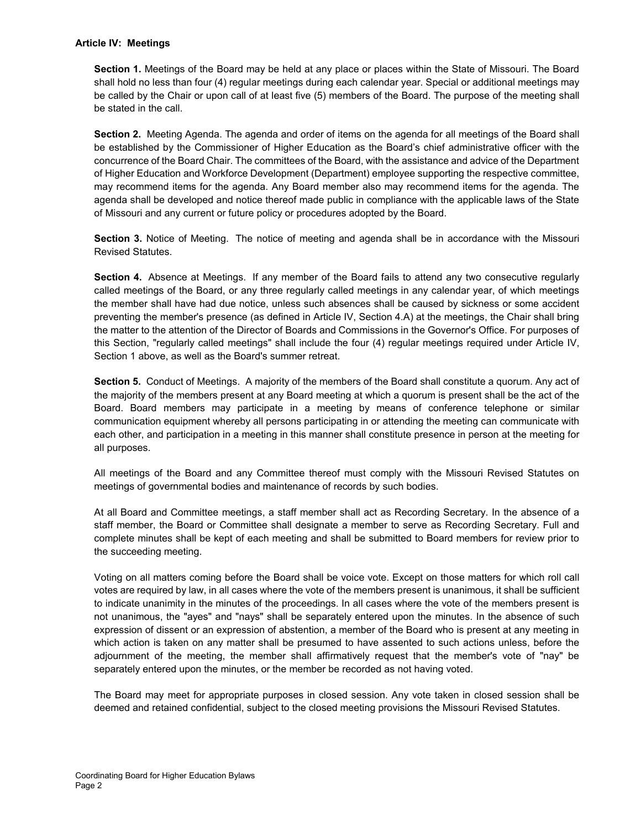#### **Article IV: Meetings**

**Section 1.** Meetings of the Board may be held at any place or places within the State of Missouri. The Board shall hold no less than four (4) regular meetings during each calendar year. Special or additional meetings may be called by the Chair or upon call of at least five (5) members of the Board. The purpose of the meeting shall be stated in the call.

**Section 2.** Meeting Agenda. The agenda and order of items on the agenda for all meetings of the Board shall be established by the Commissioner of Higher Education as the Board's chief administrative officer with the concurrence of the Board Chair. The committees of the Board, with the assistance and advice of the Department of Higher Education and Workforce Development (Department) employee supporting the respective committee, may recommend items for the agenda. Any Board member also may recommend items for the agenda. The agenda shall be developed and notice thereof made public in compliance with the applicable laws of the State of Missouri and any current or future policy or procedures adopted by the Board.

**Section 3.** Notice of Meeting. The notice of meeting and agenda shall be in accordance with the Missouri Revised Statutes.

**Section 4.** Absence at Meetings. If any member of the Board fails to attend any two consecutive regularly called meetings of the Board, or any three regularly called meetings in any calendar year, of which meetings the member shall have had due notice, unless such absences shall be caused by sickness or some accident preventing the member's presence (as defined in Article IV, Section 4.A) at the meetings, the Chair shall bring the matter to the attention of the Director of Boards and Commissions in the Governor's Office. For purposes of this Section, "regularly called meetings" shall include the four (4) regular meetings required under Article IV, Section 1 above, as well as the Board's summer retreat.

**Section 5.** Conduct of Meetings. A majority of the members of the Board shall constitute a quorum. Any act of the majority of the members present at any Board meeting at which a quorum is present shall be the act of the Board. Board members may participate in a meeting by means of conference telephone or similar communication equipment whereby all persons participating in or attending the meeting can communicate with each other, and participation in a meeting in this manner shall constitute presence in person at the meeting for all purposes.

All meetings of the Board and any Committee thereof must comply with the Missouri Revised Statutes on meetings of governmental bodies and maintenance of records by such bodies.

At all Board and Committee meetings, a staff member shall act as Recording Secretary. In the absence of a staff member, the Board or Committee shall designate a member to serve as Recording Secretary. Full and complete minutes shall be kept of each meeting and shall be submitted to Board members for review prior to the succeeding meeting.

Voting on all matters coming before the Board shall be voice vote. Except on those matters for which roll call votes are required by law, in all cases where the vote of the members present is unanimous, it shall be sufficient to indicate unanimity in the minutes of the proceedings. In all cases where the vote of the members present is not unanimous, the "ayes" and "nays" shall be separately entered upon the minutes. In the absence of such expression of dissent or an expression of abstention, a member of the Board who is present at any meeting in which action is taken on any matter shall be presumed to have assented to such actions unless, before the adjournment of the meeting, the member shall affirmatively request that the member's vote of "nay" be separately entered upon the minutes, or the member be recorded as not having voted.

The Board may meet for appropriate purposes in closed session. Any vote taken in closed session shall be deemed and retained confidential, subject to the closed meeting provisions the Missouri Revised Statutes.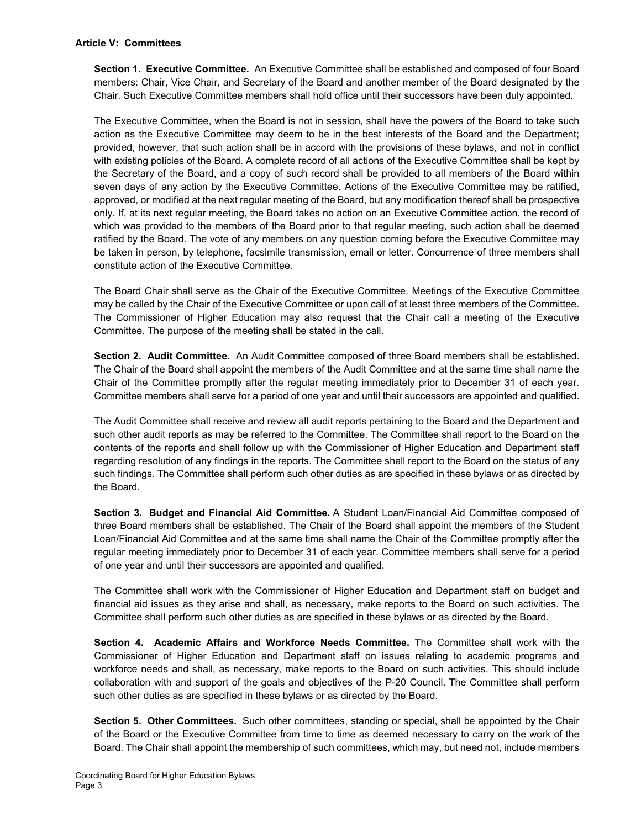#### **Article V: Committees**

**Section 1. Executive Committee.** An Executive Committee shall be established and composed of four Board members: Chair, Vice Chair, and Secretary of the Board and another member of the Board designated by the Chair. Such Executive Committee members shall hold office until their successors have been duly appointed.

The Executive Committee, when the Board is not in session, shall have the powers of the Board to take such action as the Executive Committee may deem to be in the best interests of the Board and the Department; provided, however, that such action shall be in accord with the provisions of these bylaws, and not in conflict with existing policies of the Board. A complete record of all actions of the Executive Committee shall be kept by the Secretary of the Board, and a copy of such record shall be provided to all members of the Board within seven days of any action by the Executive Committee. Actions of the Executive Committee may be ratified, approved, or modified at the next regular meeting of the Board, but any modification thereof shall be prospective only. If, at its next regular meeting, the Board takes no action on an Executive Committee action, the record of which was provided to the members of the Board prior to that regular meeting, such action shall be deemed ratified by the Board. The vote of any members on any question coming before the Executive Committee may be taken in person, by telephone, facsimile transmission, email or letter. Concurrence of three members shall constitute action of the Executive Committee.

The Board Chair shall serve as the Chair of the Executive Committee. Meetings of the Executive Committee may be called by the Chair of the Executive Committee or upon call of at least three members of the Committee. The Commissioner of Higher Education may also request that the Chair call a meeting of the Executive Committee. The purpose of the meeting shall be stated in the call.

**Section 2. Audit Committee.** An Audit Committee composed of three Board members shall be established. The Chair of the Board shall appoint the members of the Audit Committee and at the same time shall name the Chair of the Committee promptly after the regular meeting immediately prior to December 31 of each year. Committee members shall serve for a period of one year and until their successors are appointed and qualified.

The Audit Committee shall receive and review all audit reports pertaining to the Board and the Department and such other audit reports as may be referred to the Committee. The Committee shall report to the Board on the contents of the reports and shall follow up with the Commissioner of Higher Education and Department staff regarding resolution of any findings in the reports. The Committee shall report to the Board on the status of any such findings. The Committee shall perform such other duties as are specified in these bylaws or as directed by the Board.

**Section 3. Budget and Financial Aid Committee.** A Student Loan/Financial Aid Committee composed of three Board members shall be established. The Chair of the Board shall appoint the members of the Student Loan/Financial Aid Committee and at the same time shall name the Chair of the Committee promptly after the regular meeting immediately prior to December 31 of each year. Committee members shall serve for a period of one year and until their successors are appointed and qualified.

The Committee shall work with the Commissioner of Higher Education and Department staff on budget and financial aid issues as they arise and shall, as necessary, make reports to the Board on such activities. The Committee shall perform such other duties as are specified in these bylaws or as directed by the Board.

**Section 4. Academic Affairs and Workforce Needs Committee.** The Committee shall work with the Commissioner of Higher Education and Department staff on issues relating to academic programs and workforce needs and shall, as necessary, make reports to the Board on such activities. This should include collaboration with and support of the goals and objectives of the P-20 Council. The Committee shall perform such other duties as are specified in these bylaws or as directed by the Board.

**Section 5. Other Committees.** Such other committees, standing or special, shall be appointed by the Chair of the Board or the Executive Committee from time to time as deemed necessary to carry on the work of the Board. The Chair shall appoint the membership of such committees, which may, but need not, include members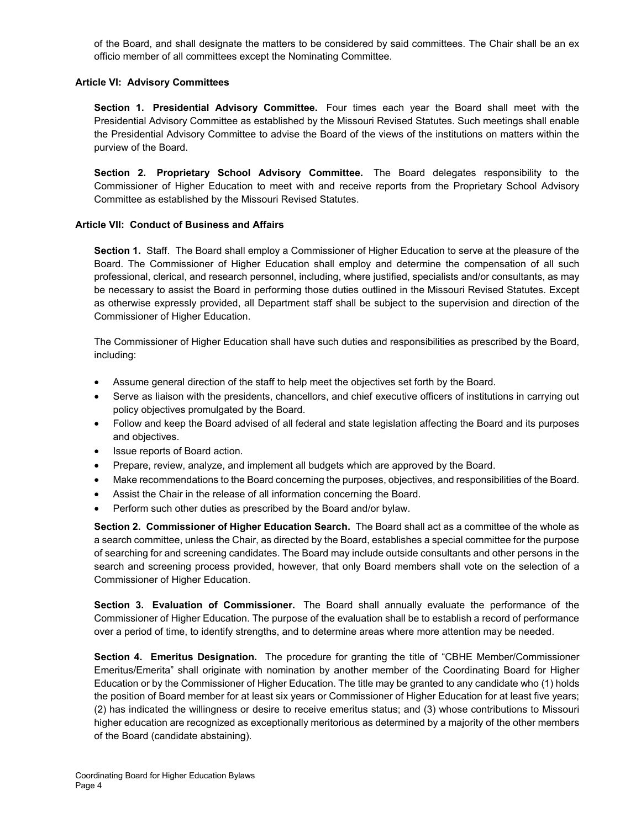of the Board, and shall designate the matters to be considered by said committees. The Chair shall be an ex officio member of all committees except the Nominating Committee.

#### **Article VI: Advisory Committees**

**Section 1. Presidential Advisory Committee.** Four times each year the Board shall meet with the Presidential Advisory Committee as established by the Missouri Revised Statutes. Such meetings shall enable the Presidential Advisory Committee to advise the Board of the views of the institutions on matters within the purview of the Board.

**Section 2. Proprietary School Advisory Committee.** The Board delegates responsibility to the Commissioner of Higher Education to meet with and receive reports from the Proprietary School Advisory Committee as established by the Missouri Revised Statutes.

## **Article VII: Conduct of Business and Affairs**

**Section 1.** Staff. The Board shall employ a Commissioner of Higher Education to serve at the pleasure of the Board. The Commissioner of Higher Education shall employ and determine the compensation of all such professional, clerical, and research personnel, including, where justified, specialists and/or consultants, as may be necessary to assist the Board in performing those duties outlined in the Missouri Revised Statutes. Except as otherwise expressly provided, all Department staff shall be subject to the supervision and direction of the Commissioner of Higher Education.

The Commissioner of Higher Education shall have such duties and responsibilities as prescribed by the Board, including:

- Assume general direction of the staff to help meet the objectives set forth by the Board.
- Serve as liaison with the presidents, chancellors, and chief executive officers of institutions in carrying out policy objectives promulgated by the Board.
- Follow and keep the Board advised of all federal and state legislation affecting the Board and its purposes and objectives.
- Issue reports of Board action.
- Prepare, review, analyze, and implement all budgets which are approved by the Board.
- Make recommendations to the Board concerning the purposes, objectives, and responsibilities of the Board.
- Assist the Chair in the release of all information concerning the Board.
- Perform such other duties as prescribed by the Board and/or bylaw.

**Section 2. Commissioner of Higher Education Search.** The Board shall act as a committee of the whole as a search committee, unless the Chair, as directed by the Board, establishes a special committee for the purpose of searching for and screening candidates. The Board may include outside consultants and other persons in the search and screening process provided, however, that only Board members shall vote on the selection of a Commissioner of Higher Education.

**Section 3. Evaluation of Commissioner.** The Board shall annually evaluate the performance of the Commissioner of Higher Education. The purpose of the evaluation shall be to establish a record of performance over a period of time, to identify strengths, and to determine areas where more attention may be needed.

**Section 4. Emeritus Designation.** The procedure for granting the title of "CBHE Member/Commissioner Emeritus/Emerita" shall originate with nomination by another member of the Coordinating Board for Higher Education or by the Commissioner of Higher Education. The title may be granted to any candidate who (1) holds the position of Board member for at least six years or Commissioner of Higher Education for at least five years; (2) has indicated the willingness or desire to receive emeritus status; and (3) whose contributions to Missouri higher education are recognized as exceptionally meritorious as determined by a majority of the other members of the Board (candidate abstaining).